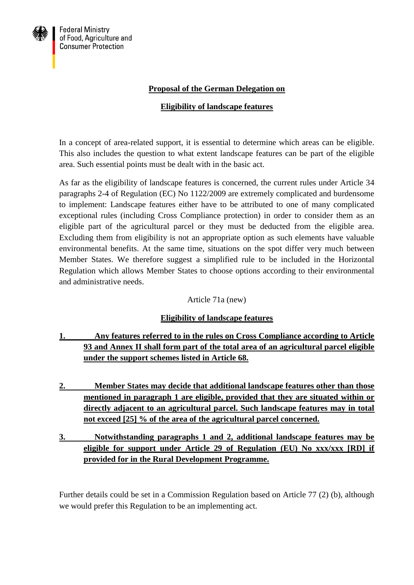

#### **Proposal of the German Delegation on**

### **Eligibility of landscape features**

In a concept of area-related support, it is essential to determine which areas can be eligible. This also includes the question to what extent landscape features can be part of the eligible area. Such essential points must be dealt with in the basic act.

As far as the eligibility of landscape features is concerned, the current rules under Article 34 paragraphs 2-4 of Regulation (EC) No 1122/2009 are extremely complicated and burdensome to implement: Landscape features either have to be attributed to one of many complicated exceptional rules (including Cross Compliance protection) in order to consider them as an eligible part of the agricultural parcel or they must be deducted from the eligible area. Excluding them from eligibility is not an appropriate option as such elements have valuable environmental benefits. At the same time, situations on the spot differ very much between Member States. We therefore suggest a simplified rule to be included in the Horizontal Regulation which allows Member States to choose options according to their environmental and administrative needs.

#### Article 71a (new)

## **Eligibility of landscape features**

# **1. Any features referred to in the rules on Cross Compliance according to Article 93 and Annex II shall form part of the total area of an agricultural parcel eligible under the support schemes listed in Article 68.**

- **2. Member States may decide that additional landscape features other than those mentioned in paragraph 1 are eligible, provided that they are situated within or directly adjacent to an agricultural parcel. Such landscape features may in total not exceed [25] % of the area of the agricultural parcel concerned.**
- **3. Notwithstanding paragraphs 1 and 2, additional landscape features may be eligible for support under Article 29 of Regulation (EU) No xxx/xxx [RD] if provided for in the Rural Development Programme.**

Further details could be set in a Commission Regulation based on Article 77 (2) (b), although we would prefer this Regulation to be an implementing act.